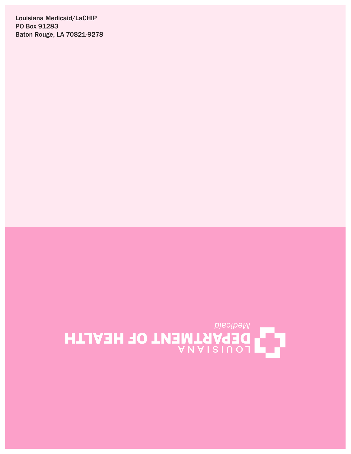Louisiana Medicaid/LaCHIP PO Box 91283 Baton Rouge, LA 70821-9278